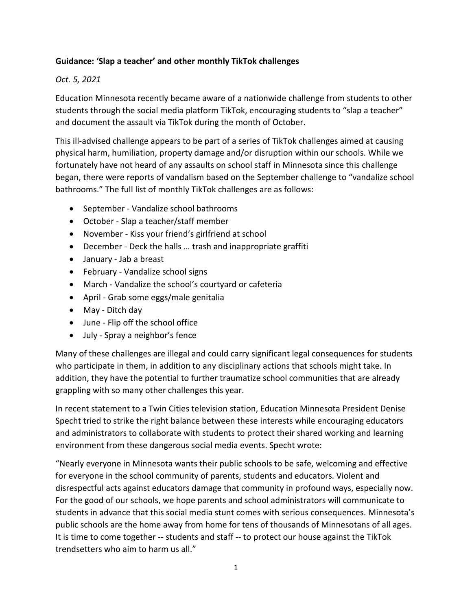## **Guidance: 'Slap a teacher' and other monthly TikTok challenges**

## *Oct. 5, 2021*

Education Minnesota recently became aware of a nationwide challenge from students to other students through the social media platform TikTok, encouraging students to "slap a teacher" and document the assault via TikTok during the month of October.

This ill-advised challenge appears to be part of a series of TikTok challenges aimed at causing physical harm, humiliation, property damage and/or disruption within our schools. While we fortunately have not heard of any assaults on school staff in Minnesota since this challenge began, there were reports of vandalism based on the September challenge to "vandalize school bathrooms." The full list of monthly TikTok challenges are as follows:

- September Vandalize school bathrooms
- October Slap a teacher/staff member
- November Kiss your friend's girlfriend at school
- December Deck the halls … trash and inappropriate graffiti
- January Jab a breast
- February Vandalize school signs
- March Vandalize the school's courtyard or cafeteria
- April Grab some eggs/male genitalia
- May Ditch day
- June Flip off the school office
- July Spray a neighbor's fence

Many of these challenges are illegal and could carry significant legal consequences for students who participate in them, in addition to any disciplinary actions that schools might take. In addition, they have the potential to further traumatize school communities that are already grappling with so many other challenges this year.

In recent statement to a Twin Cities television station, Education Minnesota President Denise Specht tried to strike the right balance between these interests while encouraging educators and administrators to collaborate with students to protect their shared working and learning environment from these dangerous social media events. Specht wrote:

"Nearly everyone in Minnesota wants their public schools to be safe, welcoming and effective for everyone in the school community of parents, students and educators. Violent and disrespectful acts against educators damage that community in profound ways, especially now. For the good of our schools, we hope parents and school administrators will communicate to students in advance that this social media stunt comes with serious consequences. Minnesota's public schools are the home away from home for tens of thousands of Minnesotans of all ages. It is time to come together -- students and staff -- to protect our house against the TikTok trendsetters who aim to harm us all."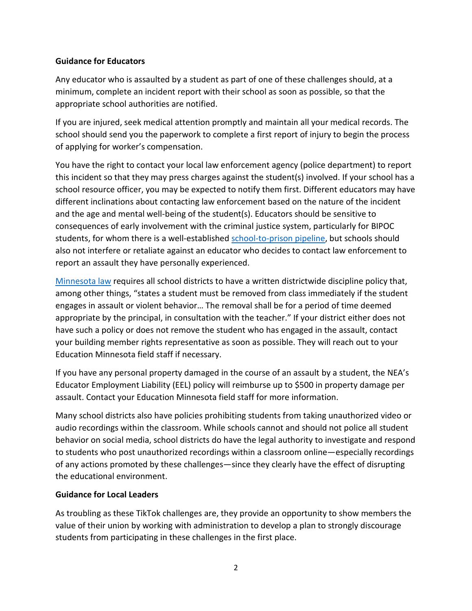## **Guidance for Educators**

Any educator who is assaulted by a student as part of one of these challenges should, at a minimum, complete an incident report with their school as soon as possible, so that the appropriate school authorities are notified.

If you are injured, seek medical attention promptly and maintain all your medical records. The school should send you the paperwork to complete a first report of injury to begin the process of applying for worker's compensation.

You have the right to contact your local law enforcement agency (police department) to report this incident so that they may press charges against the student(s) involved. If your school has a school resource officer, you may be expected to notify them first. Different educators may have different inclinations about contacting law enforcement based on the nature of the incident and the age and mental well-being of the student(s). Educators should be sensitive to consequences of early involvement with the criminal justice system, particularly for BIPOC students, for whom there is a well-established [school-to-prison pipeline,](https://www.aclu.org/issues/juvenile-justice/school-prison-pipeline) but schools should also not interfere or retaliate against an educator who decides to contact law enforcement to report an assault they have personally experienced.

[Minnesota law](https://www.revisor.mn.gov/statutes/cite/121A.61) requires all school districts to have a written districtwide discipline policy that, among other things, "states a student must be removed from class immediately if the student engages in assault or violent behavior… The removal shall be for a period of time deemed appropriate by the principal, in consultation with the teacher." If your district either does not have such a policy or does not remove the student who has engaged in the assault, contact your building member rights representative as soon as possible. They will reach out to your Education Minnesota field staff if necessary.

If you have any personal property damaged in the course of an assault by a student, the NEA's Educator Employment Liability (EEL) policy will reimburse up to \$500 in property damage per assault. Contact your Education Minnesota field staff for more information.

Many school districts also have policies prohibiting students from taking unauthorized video or audio recordings within the classroom. While schools cannot and should not police all student behavior on social media, school districts do have the legal authority to investigate and respond to students who post unauthorized recordings within a classroom online—especially recordings of any actions promoted by these challenges—since they clearly have the effect of disrupting the educational environment.

## **Guidance for Local Leaders**

As troubling as these TikTok challenges are, they provide an opportunity to show members the value of their union by working with administration to develop a plan to strongly discourage students from participating in these challenges in the first place.